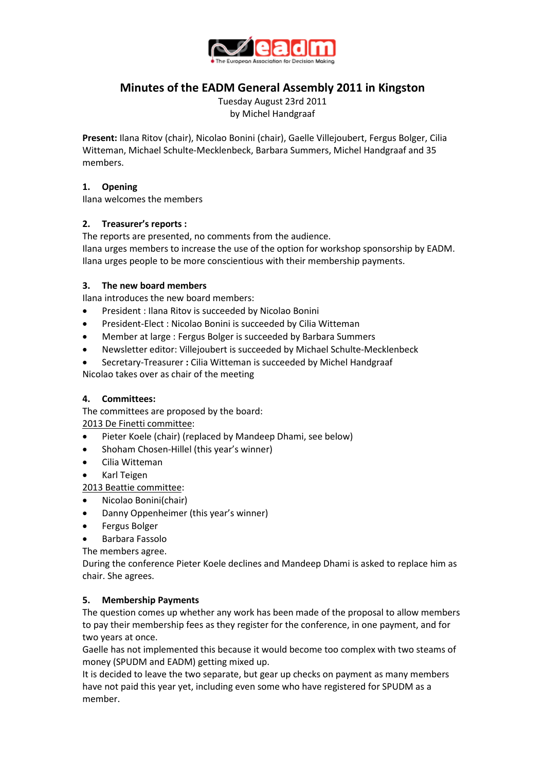

# **Minutes of the EADM General Assembly 2011 in Kingston**

Tuesday August 23rd 2011 by Michel Handgraaf

**Present:** Ilana Ritov (chair), Nicolao Bonini (chair), Gaelle Villejoubert, Fergus Bolger, Cilia Witteman, Michael Schulte-Mecklenbeck, Barbara Summers, Michel Handgraaf and 35 members.

## **1. Opening**

Ilana welcomes the members

# **2. Treasurer's reports :**

The reports are presented, no comments from the audience. Ilana urges members to increase the use of the option for workshop sponsorship by EADM. Ilana urges people to be more conscientious with their membership payments.

# **3. The new board members**

Ilana introduces the new board members:

- President : Ilana Ritov is succeeded by Nicolao Bonini
- President-Elect : Nicolao Bonini is succeeded by Cilia Witteman
- Member at large : Fergus Bolger is succeeded by Barbara Summers
- Newsletter editor: Villejoubert is succeeded by Michael Schulte-Mecklenbeck
- Secretary-Treasurer **:** Cilia Witteman is succeeded by Michel Handgraaf Nicolao takes over as chair of the meeting

# **4. Committees:**

The committees are proposed by the board:

2013 De Finetti committee:

- Pieter Koele (chair) (replaced by Mandeep Dhami, see below)
- Shoham Chosen-Hillel (this year's winner)
- Cilia Witteman
- Karl Teigen

2013 Beattie committee:

- Nicolao Bonini(chair)
- Danny Oppenheimer (this year's winner)
- Fergus Bolger
- Barbara Fassolo

The members agree.

During the conference Pieter Koele declines and Mandeep Dhami is asked to replace him as chair. She agrees.

# **5. Membership Payments**

The question comes up whether any work has been made of the proposal to allow members to pay their membership fees as they register for the conference, in one payment, and for two years at once.

Gaelle has not implemented this because it would become too complex with two steams of money (SPUDM and EADM) getting mixed up.

It is decided to leave the two separate, but gear up checks on payment as many members have not paid this year yet, including even some who have registered for SPUDM as a member.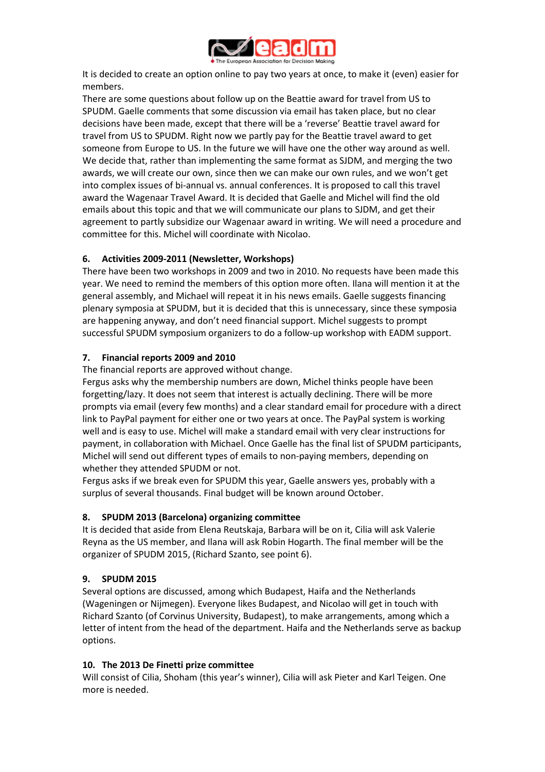

It is decided to create an option online to pay two years at once, to make it (even) easier for members.

There are some questions about follow up on the Beattie award for travel from US to SPUDM. Gaelle comments that some discussion via email has taken place, but no clear decisions have been made, except that there will be a 'reverse' Beattie travel award for travel from US to SPUDM. Right now we partly pay for the Beattie travel award to get someone from Europe to US. In the future we will have one the other way around as well. We decide that, rather than implementing the same format as SJDM, and merging the two awards, we will create our own, since then we can make our own rules, and we won't get into complex issues of bi-annual vs. annual conferences. It is proposed to call this travel award the Wagenaar Travel Award. It is decided that Gaelle and Michel will find the old emails about this topic and that we will communicate our plans to SJDM, and get their agreement to partly subsidize our Wagenaar award in writing. We will need a procedure and committee for this. Michel will coordinate with Nicolao.

# **6. Activities 2009-2011 (Newsletter, Workshops)**

There have been two workshops in 2009 and two in 2010. No requests have been made this year. We need to remind the members of this option more often. Ilana will mention it at the general assembly, and Michael will repeat it in his news emails. Gaelle suggests financing plenary symposia at SPUDM, but it is decided that this is unnecessary, since these symposia are happening anyway, and don't need financial support. Michel suggests to prompt successful SPUDM symposium organizers to do a follow-up workshop with EADM support.

## **7. Financial reports 2009 and 2010**

The financial reports are approved without change.

Fergus asks why the membership numbers are down, Michel thinks people have been forgetting/lazy. It does not seem that interest is actually declining. There will be more prompts via email (every few months) and a clear standard email for procedure with a direct link to PayPal payment for either one or two years at once. The PayPal system is working well and is easy to use. Michel will make a standard email with very clear instructions for payment, in collaboration with Michael. Once Gaelle has the final list of SPUDM participants, Michel will send out different types of emails to non-paying members, depending on whether they attended SPUDM or not.

Fergus asks if we break even for SPUDM this year, Gaelle answers yes, probably with a surplus of several thousands. Final budget will be known around October.

# **8. SPUDM 2013 (Barcelona) organizing committee**

It is decided that aside from Elena Reutskaja, Barbara will be on it, Cilia will ask Valerie Reyna as the US member, and Ilana will ask Robin Hogarth. The final member will be the organizer of SPUDM 2015, (Richard Szanto, see point 6).

# **9. SPUDM 2015**

Several options are discussed, among which Budapest, Haifa and the Netherlands (Wageningen or Nijmegen). Everyone likes Budapest, and Nicolao will get in touch with Richard Szanto (of Corvinus University, Budapest), to make arrangements, among which a letter of intent from the head of the department. Haifa and the Netherlands serve as backup options.

#### **10. The 2013 De Finetti prize committee**

Will consist of Cilia, Shoham (this year's winner), Cilia will ask Pieter and Karl Teigen. One more is needed.